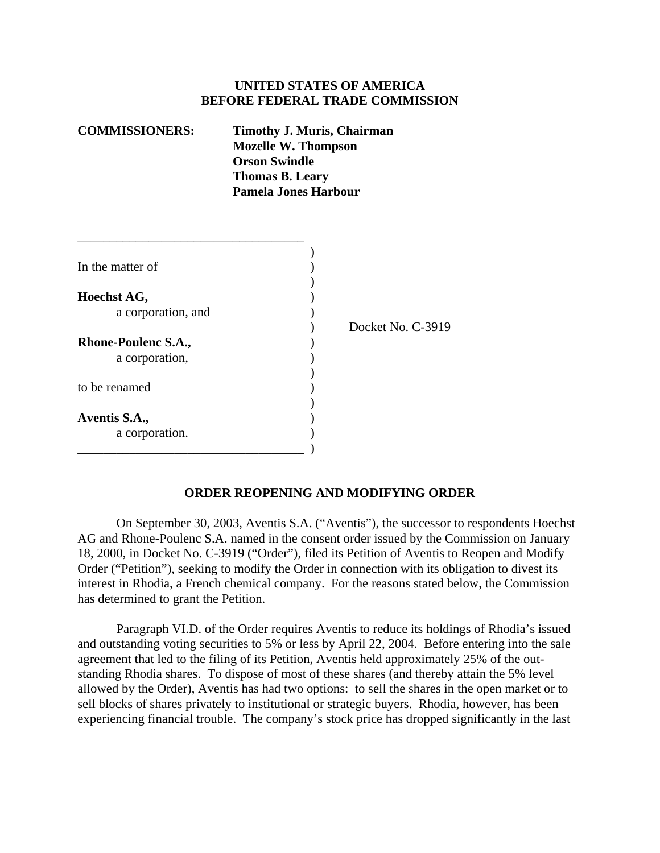## **UNITED STATES OF AMERICA BEFORE FEDERAL TRADE COMMISSION**

| <b>COMMISSIONERS:</b> | <b>Timothy J. Muris, Chairman</b><br><b>Mozelle W. Thompson</b> |
|-----------------------|-----------------------------------------------------------------|
|                       | <b>Orson Swindle</b>                                            |
|                       | <b>Thomas B. Leary</b>                                          |
|                       | <b>Pamela Jones Harbour</b>                                     |
|                       |                                                                 |

| In the matter of           |                   |
|----------------------------|-------------------|
|                            |                   |
| Hoechst AG,                |                   |
| a corporation, and         |                   |
|                            | Docket No. C-3919 |
| <b>Rhone-Poulenc S.A.,</b> |                   |
| a corporation,             |                   |
|                            |                   |
| to be renamed              |                   |
|                            |                   |
| Aventis S.A.,              |                   |
| a corporation.             |                   |
|                            |                   |

## **ORDER REOPENING AND MODIFYING ORDER**

On September 30, 2003, Aventis S.A. ("Aventis"), the successor to respondents Hoechst AG and Rhone-Poulenc S.A. named in the consent order issued by the Commission on January 18, 2000, in Docket No. C-3919 ("Order"), filed its Petition of Aventis to Reopen and Modify Order ("Petition"), seeking to modify the Order in connection with its obligation to divest its interest in Rhodia, a French chemical company. For the reasons stated below, the Commission has determined to grant the Petition.

Paragraph VI.D. of the Order requires Aventis to reduce its holdings of Rhodia's issued and outstanding voting securities to 5% or less by April 22, 2004. Before entering into the sale agreement that led to the filing of its Petition, Aventis held approximately 25% of the outstanding Rhodia shares. To dispose of most of these shares (and thereby attain the 5% level allowed by the Order), Aventis has had two options: to sell the shares in the open market or to sell blocks of shares privately to institutional or strategic buyers. Rhodia, however, has been experiencing financial trouble. The company's stock price has dropped significantly in the last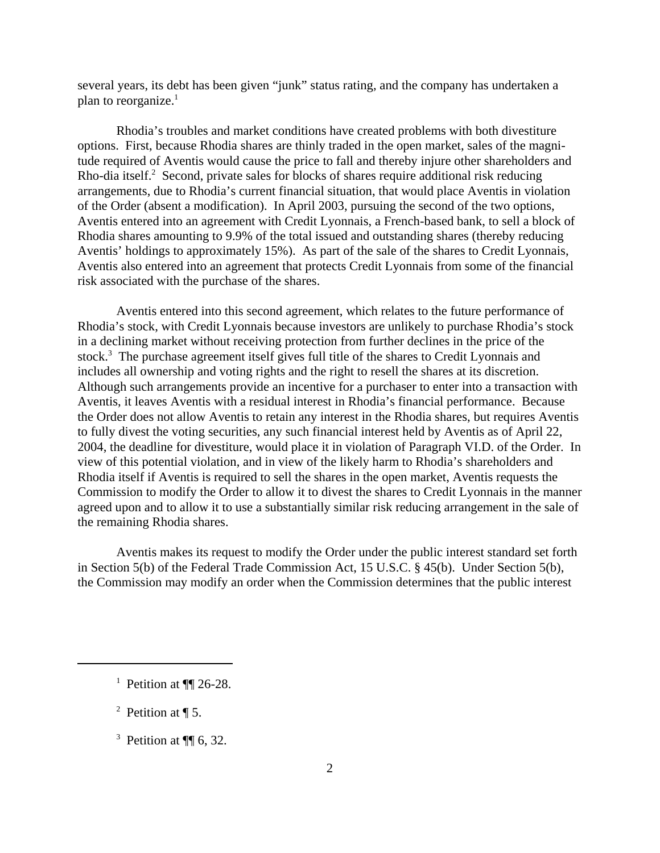several years, its debt has been given "junk" status rating, and the company has undertaken a plan to reorganize. $<sup>1</sup>$ </sup>

Rhodia's troubles and market conditions have created problems with both divestiture options. First, because Rhodia shares are thinly traded in the open market, sales of the magnitude required of Aventis would cause the price to fall and thereby injure other shareholders and Rho-dia itself.<sup>2</sup> Second, private sales for blocks of shares require additional risk reducing arrangements, due to Rhodia's current financial situation, that would place Aventis in violation of the Order (absent a modification). In April 2003, pursuing the second of the two options, Aventis entered into an agreement with Credit Lyonnais, a French-based bank, to sell a block of Rhodia shares amounting to 9.9% of the total issued and outstanding shares (thereby reducing Aventis' holdings to approximately 15%). As part of the sale of the shares to Credit Lyonnais, Aventis also entered into an agreement that protects Credit Lyonnais from some of the financial risk associated with the purchase of the shares.

Aventis entered into this second agreement, which relates to the future performance of Rhodia's stock, with Credit Lyonnais because investors are unlikely to purchase Rhodia's stock in a declining market without receiving protection from further declines in the price of the stock.<sup>3</sup> The purchase agreement itself gives full title of the shares to Credit Lyonnais and includes all ownership and voting rights and the right to resell the shares at its discretion. Although such arrangements provide an incentive for a purchaser to enter into a transaction with Aventis, it leaves Aventis with a residual interest in Rhodia's financial performance. Because the Order does not allow Aventis to retain any interest in the Rhodia shares, but requires Aventis to fully divest the voting securities, any such financial interest held by Aventis as of April 22, 2004, the deadline for divestiture, would place it in violation of Paragraph VI.D. of the Order. In view of this potential violation, and in view of the likely harm to Rhodia's shareholders and Rhodia itself if Aventis is required to sell the shares in the open market, Aventis requests the Commission to modify the Order to allow it to divest the shares to Credit Lyonnais in the manner agreed upon and to allow it to use a substantially similar risk reducing arrangement in the sale of the remaining Rhodia shares.

Aventis makes its request to modify the Order under the public interest standard set forth in Section 5(b) of the Federal Trade Commission Act, 15 U.S.C. § 45(b). Under Section 5(b), the Commission may modify an order when the Commission determines that the public interest

<sup>&</sup>lt;sup>1</sup> Petition at  $\P$  26-28.

<sup>&</sup>lt;sup>2</sup> Petition at  $\P$  5.

<sup>&</sup>lt;sup>3</sup> Petition at  $\P$  6, 32.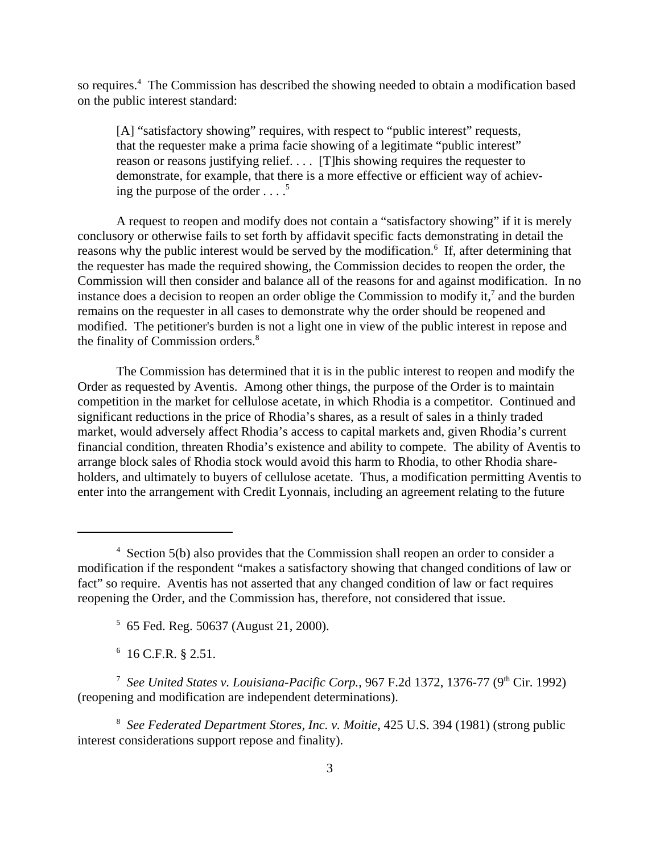so requires.<sup>4</sup> The Commission has described the showing needed to obtain a modification based on the public interest standard:

[A] "satisfactory showing" requires, with respect to "public interest" requests, that the requester make a prima facie showing of a legitimate "public interest" reason or reasons justifying relief. . . . [T]his showing requires the requester to demonstrate, for example, that there is a more effective or efficient way of achieving the purpose of the order  $\ldots$ <sup>5</sup>

A request to reopen and modify does not contain a "satisfactory showing" if it is merely conclusory or otherwise fails to set forth by affidavit specific facts demonstrating in detail the reasons why the public interest would be served by the modification.<sup>6</sup> If, after determining that the requester has made the required showing, the Commission decides to reopen the order, the Commission will then consider and balance all of the reasons for and against modification. In no instance does a decision to reopen an order oblige the Commission to modify it,<sup>7</sup> and the burden remains on the requester in all cases to demonstrate why the order should be reopened and modified. The petitioner's burden is not a light one in view of the public interest in repose and the finality of Commission orders.<sup>8</sup>

The Commission has determined that it is in the public interest to reopen and modify the Order as requested by Aventis. Among other things, the purpose of the Order is to maintain competition in the market for cellulose acetate, in which Rhodia is a competitor. Continued and significant reductions in the price of Rhodia's shares, as a result of sales in a thinly traded market, would adversely affect Rhodia's access to capital markets and, given Rhodia's current financial condition, threaten Rhodia's existence and ability to compete. The ability of Aventis to arrange block sales of Rhodia stock would avoid this harm to Rhodia, to other Rhodia shareholders, and ultimately to buyers of cellulose acetate. Thus, a modification permitting Aventis to enter into the arrangement with Credit Lyonnais, including an agreement relating to the future

6 16 C.F.R. § 2.51.

<sup>&</sup>lt;sup>4</sup> Section 5(b) also provides that the Commission shall reopen an order to consider a modification if the respondent "makes a satisfactory showing that changed conditions of law or fact" so require. Aventis has not asserted that any changed condition of law or fact requires reopening the Order, and the Commission has, therefore, not considered that issue.

<sup>5</sup> 65 Fed. Reg. 50637 (August 21, 2000).

<sup>&</sup>lt;sup>7</sup> See United States v. Louisiana-Pacific Corp., 967 F.2d 1372, 1376-77 (9<sup>th</sup> Cir. 1992) (reopening and modification are independent determinations).

<sup>8</sup> *See Federated Department Stores, Inc. v. Moitie*, 425 U.S. 394 (1981) (strong public interest considerations support repose and finality).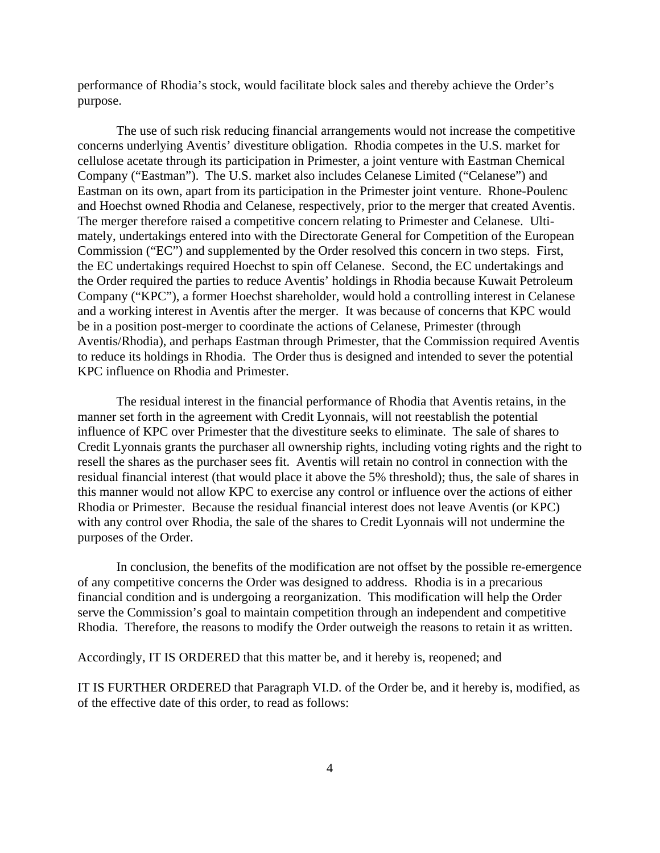performance of Rhodia's stock, would facilitate block sales and thereby achieve the Order's purpose.

The use of such risk reducing financial arrangements would not increase the competitive concerns underlying Aventis' divestiture obligation. Rhodia competes in the U.S. market for cellulose acetate through its participation in Primester, a joint venture with Eastman Chemical Company ("Eastman"). The U.S. market also includes Celanese Limited ("Celanese") and Eastman on its own, apart from its participation in the Primester joint venture. Rhone-Poulenc and Hoechst owned Rhodia and Celanese, respectively, prior to the merger that created Aventis. The merger therefore raised a competitive concern relating to Primester and Celanese. Ultimately, undertakings entered into with the Directorate General for Competition of the European Commission ("EC") and supplemented by the Order resolved this concern in two steps. First, the EC undertakings required Hoechst to spin off Celanese. Second, the EC undertakings and the Order required the parties to reduce Aventis' holdings in Rhodia because Kuwait Petroleum Company ("KPC"), a former Hoechst shareholder, would hold a controlling interest in Celanese and a working interest in Aventis after the merger. It was because of concerns that KPC would be in a position post-merger to coordinate the actions of Celanese, Primester (through Aventis/Rhodia), and perhaps Eastman through Primester, that the Commission required Aventis to reduce its holdings in Rhodia. The Order thus is designed and intended to sever the potential KPC influence on Rhodia and Primester.

The residual interest in the financial performance of Rhodia that Aventis retains, in the manner set forth in the agreement with Credit Lyonnais, will not reestablish the potential influence of KPC over Primester that the divestiture seeks to eliminate. The sale of shares to Credit Lyonnais grants the purchaser all ownership rights, including voting rights and the right to resell the shares as the purchaser sees fit. Aventis will retain no control in connection with the residual financial interest (that would place it above the 5% threshold); thus, the sale of shares in this manner would not allow KPC to exercise any control or influence over the actions of either Rhodia or Primester. Because the residual financial interest does not leave Aventis (or KPC) with any control over Rhodia, the sale of the shares to Credit Lyonnais will not undermine the purposes of the Order.

In conclusion, the benefits of the modification are not offset by the possible re-emergence of any competitive concerns the Order was designed to address. Rhodia is in a precarious financial condition and is undergoing a reorganization. This modification will help the Order serve the Commission's goal to maintain competition through an independent and competitive Rhodia. Therefore, the reasons to modify the Order outweigh the reasons to retain it as written.

Accordingly, IT IS ORDERED that this matter be, and it hereby is, reopened; and

IT IS FURTHER ORDERED that Paragraph VI.D. of the Order be, and it hereby is, modified, as of the effective date of this order, to read as follows: